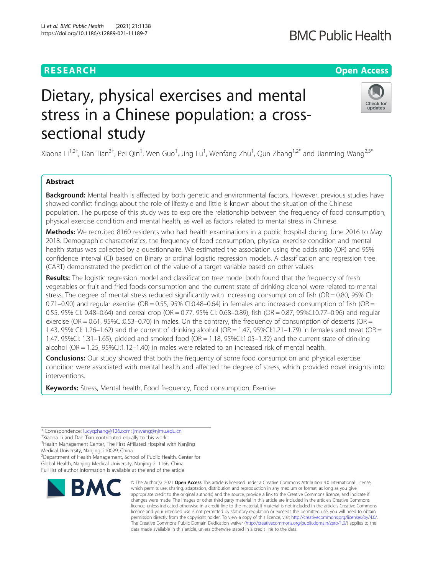# **RESEARCH CHE Open Access**

# Dietary, physical exercises and mental stress in a Chinese population: a crosssectional study

Xiaona Li<sup>1,2†</sup>, Dan Tian<sup>3†</sup>, Pei Qin<sup>1</sup>, Wen Guo<sup>1</sup>, Jing Lu<sup>1</sup>, Wenfang Zhu<sup>1</sup>, Qun Zhang<sup>1,2\*</sup> and Jianming Wang<sup>2,3\*</sup>

# Abstract

Backaround: Mental health is affected by both genetic and environmental factors. However, previous studies have showed conflict findings about the role of lifestyle and little is known about the situation of the Chinese population. The purpose of this study was to explore the relationship between the frequency of food consumption, physical exercise condition and mental health, as well as factors related to mental stress in Chinese.

Methods: We recruited 8160 residents who had health examinations in a public hospital during June 2016 to May 2018. Demographic characteristics, the frequency of food consumption, physical exercise condition and mental health status was collected by a questionnaire. We estimated the association using the odds ratio (OR) and 95% confidence interval (CI) based on Binary or ordinal logistic regression models. A classification and regression tree (CART) demonstrated the prediction of the value of a target variable based on other values.

Results: The logistic regression model and classification tree model both found that the frequency of fresh vegetables or fruit and fried foods consumption and the current state of drinking alcohol were related to mental stress. The degree of mental stress reduced significantly with increasing consumption of fish (OR = 0.80, 95% CI:  $0.71-0.90$ ) and regular exercise (OR = 0.55, 95% CI:0.48-0.64) in females and increased consumption of fish (OR = 0.55, 95% CI: 0.48–0.64) and cereal crop (OR = 0.77, 95% CI: 0.68–0.89), fish (OR = 0.87, 95%CI:0.77–0.96) and regular exercise (OR = 0.61, 95%CI:0.53–0.70) in males. On the contrary, the frequency of consumption of desserts (OR = 1.43, 95% CI: 1.26–1.62) and the current of drinking alcohol (OR = 1.47, 95%CI:1.21–1.79) in females and meat (OR = 1.47, 95%CI: 1.31–1.65), pickled and smoked food (OR = 1.18, 95%CI:1.05–1.32) and the current state of drinking alcohol (OR = 1.25, 95%CI:1.12–1.40) in males were related to an increased risk of mental health.

**Conclusions:** Our study showed that both the frequency of some food consumption and physical exercise condition were associated with mental health and affected the degree of stress, which provided novel insights into interventions.

Keywords: Stress, Mental health, Food frequency, Food consumption, Exercise

2 Department of Health Management, School of Public Health, Center for

Global Health, Nanjing Medical University, Nanjing 211166, China Full list of author information is available at the end of the article

# © The Author(s), 2021 **Open Access** This article is licensed under a Creative Commons Attribution 4.0 International License, **BMC**

which permits use, sharing, adaptation, distribution and reproduction in any medium or format, as long as you give appropriate credit to the original author(s) and the source, provide a link to the Creative Commons licence, and indicate if changes were made. The images or other third party material in this article are included in the article's Creative Commons licence, unless indicated otherwise in a credit line to the material. If material is not included in the article's Creative Commons licence and your intended use is not permitted by statutory regulation or exceeds the permitted use, you will need to obtain permission directly from the copyright holder. To view a copy of this licence, visit [http://creativecommons.org/licenses/by/4.0/.](http://creativecommons.org/licenses/by/4.0/) The Creative Commons Public Domain Dedication waiver [\(http://creativecommons.org/publicdomain/zero/1.0/](http://creativecommons.org/publicdomain/zero/1.0/)) applies to the data made available in this article, unless otherwise stated in a credit line to the data.





<sup>\*</sup> Correspondence: [lucyqzhang@126.com;](mailto:lucyqzhang@126.com) [jmwang@njmu.edu.cn](mailto:jmwang@njmu.edu.cn) †

<sup>&</sup>lt;sup>+</sup>Xiaona Li and Dan Tian contributed equally to this work.

<sup>&</sup>lt;sup>1</sup> Health Management Center, The First Affiliated Hospital with Nanjing Medical University, Nanjing 210029, China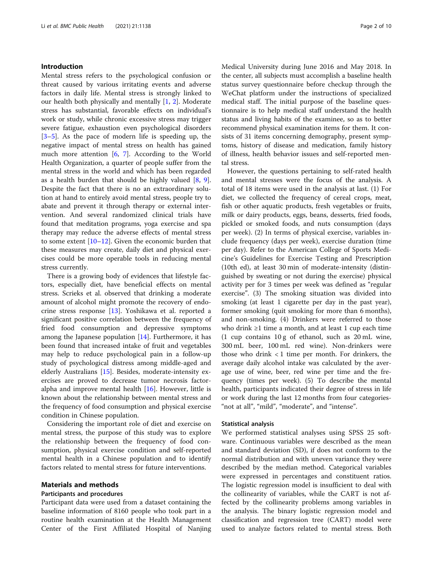# Introduction

Mental stress refers to the psychological confusion or threat caused by various irritating events and adverse factors in daily life. Mental stress is strongly linked to our health both physically and mentally [\[1](#page-8-0), [2](#page-8-0)]. Moderate stress has substantial, favorable effects on individual's work or study, while chronic excessive stress may trigger severe fatigue, exhaustion even psychological disorders [[3](#page-8-0)–[5\]](#page-8-0). As the pace of modern life is speeding up, the negative impact of mental stress on health has gained much more attention [[6,](#page-8-0) [7](#page-8-0)]. According to the World Health Organization, a quarter of people suffer from the mental stress in the world and which has been regarded as a health burden that should be highly valued [[8,](#page-8-0) [9](#page-8-0)]. Despite the fact that there is no an extraordinary solution at hand to entirely avoid mental stress, people try to abate and prevent it through therapy or external intervention. And several randomized clinical trials have found that meditation programs, yoga exercise and spa therapy may reduce the adverse effects of mental stress to some extent [[10](#page-8-0)–[12](#page-8-0)]. Given the economic burden that these measures may create, daily diet and physical exercises could be more operable tools in reducing mental stress currently.

There is a growing body of evidences that lifestyle factors, especially diet, have beneficial effects on mental stress. Scrieks et al. observed that drinking a moderate amount of alcohol might promote the recovery of endocrine stress response [[13\]](#page-8-0). Yoshikawa et al. reported a significant positive correlation between the frequency of fried food consumption and depressive symptoms among the Japanese population [\[14](#page-8-0)]. Furthermore, it has been found that increased intake of fruit and vegetables may help to reduce psychological pain in a follow-up study of psychological distress among middle-aged and elderly Australians [\[15](#page-8-0)]. Besides, moderate-intensity exercises are proved to decrease tumor necrosis factoralpha and improve mental health  $[16]$  $[16]$ . However, little is known about the relationship between mental stress and the frequency of food consumption and physical exercise condition in Chinese population.

Considering the important role of diet and exercise on mental stress, the purpose of this study was to explore the relationship between the frequency of food consumption, physical exercise condition and self-reported mental health in a Chinese population and to identify factors related to mental stress for future interventions.

# Materials and methods

# Participants and procedures

Participant data were used from a dataset containing the baseline information of 8160 people who took part in a routine health examination at the Health Management Center of the First Affiliated Hospital of Nanjing Medical University during June 2016 and May 2018. In the center, all subjects must accomplish a baseline health status survey questionnaire before checkup through the WeChat platform under the instructions of specialized medical staff. The initial purpose of the baseline questionnaire is to help medical staff understand the health status and living habits of the examinee, so as to better recommend physical examination items for them. It consists of 31 items concerning demography, present symptoms, history of disease and medication, family history of illness, health behavior issues and self-reported mental stress.

However, the questions pertaining to self-rated health and mental stresses were the focus of the analysis. A total of 18 items were used in the analysis at last. (1) For diet, we collected the frequency of cereal crops, meat, fish or other aquatic products, fresh vegetables or fruits, milk or dairy products, eggs, beans, desserts, fried foods, pickled or smoked foods, and nuts consumption (days per week). (2) In terms of physical exercise, variables include frequency (days per week), exercise duration (time per day). Refer to the American College of Sports Medicine's Guidelines for Exercise Testing and Prescription (10th ed), at least 30 min of moderate-intensity (distinguished by sweating or not during the exercise) physical activity per for 3 times per week was defined as "regular exercise". (3) The smoking situation was divided into smoking (at least 1 cigarette per day in the past year), former smoking (quit smoking for more than 6 months), and non-smoking. (4) Drinkers were referred to those who drink ≥1 time a month, and at least 1 cup each time (1 cup contains 10 g of ethanol, such as 20 mL wine, 300 mL beer, 100 mL red wine). Non-drinkers were those who drink  $< 1$  time per month. For drinkers, the average daily alcohol intake was calculated by the average use of wine, beer, red wine per time and the frequency (times per week). (5) To describe the mental health, participants indicated their degree of stress in life or work during the last 12 months from four categories- "not at all", "mild", "moderate", and "intense".

# Statistical analysis

We performed statistical analyses using SPSS 25 software. Continuous variables were described as the mean and standard deviation (SD), if does not conform to the normal distribution and with uneven variance they were described by the median method. Categorical variables were expressed in percentages and constituent ratios. The logistic regression model is insufficient to deal with the collinearity of variables, while the CART is not affected by the collinearity problems among variables in the analysis. The binary logistic regression model and classification and regression tree (CART) model were used to analyze factors related to mental stress. Both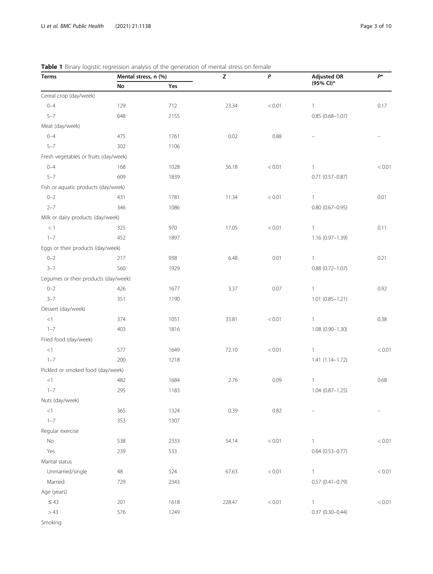| Terms                                 | Mental stress, n (%) |      | $\mathsf{Z}% _{T}=\mathsf{Z}_{T}\!\left( a,b\right) ,\ \mathsf{Z}=\mathsf{Z}_{T}$ | P          | <b>Adjusted OR</b>     | $P^*$    |
|---------------------------------------|----------------------|------|-----------------------------------------------------------------------------------|------------|------------------------|----------|
|                                       | No                   | Yes  |                                                                                   |            | $(95%$ CI)*            |          |
| Cereal crop (day/week)                |                      |      |                                                                                   |            |                        |          |
| $0 - 4$                               | 129                  | 712  | 23.34                                                                             | < 0.01     | $\mathbf{1}$           | 0.17     |
| $5 - 7$                               | 648                  | 2155 |                                                                                   |            | $0.85(0.68 - 1.07)$    |          |
| Meat (day/week)                       |                      |      |                                                                                   |            |                        |          |
| $0 - 4$                               | 475                  | 1761 | 0.02                                                                              | 0.88       |                        |          |
| $5 - 7$                               | 302                  | 1106 |                                                                                   |            |                        |          |
| Fresh vegetables or fruits (day/week) |                      |      |                                                                                   |            |                        |          |
| $0 - 4$                               | 168                  | 1028 | 56.18                                                                             | $< 0.01$   | $\mathbf{1}$           | $< 0.01$ |
| $5 - 7$                               | 609                  | 1839 |                                                                                   |            | $0.71$ $(0.57 - 0.87)$ |          |
| Fish or aquatic products (day/week)   |                      |      |                                                                                   |            |                        |          |
| $0 - 2$                               | 431                  | 1781 | 11.34                                                                             | $< 0.01$   | $\mathbf{1}$           | 0.01     |
| $2 - 7$                               | 346                  | 1086 |                                                                                   |            | $0.80$ (0.67-0.95)     |          |
| Milk or dairy products (day/week)     |                      |      |                                                                                   |            |                        |          |
| $<1\,$                                | 325                  | 970  | 17.05                                                                             | < 0.01     | $\mathbf{1}$           | 0.11     |
| $1 - 7$                               | 452                  | 1897 |                                                                                   |            | 1.16 (0.97-1.39)       |          |
| Eggs or their products (day/week)     |                      |      |                                                                                   |            |                        |          |
| $0 - 2$                               | 217                  | 938  | 6.48                                                                              | 0.01       | $\mathbf{1}$           | 0.21     |
| $3 - 7$                               | 560                  | 1929 |                                                                                   |            | $0.88$ $(0.72 - 1.07)$ |          |
| Legumes or their products (day/week)  |                      |      |                                                                                   |            |                        |          |
| $0 - 2$                               | 426                  | 1677 | 3.37                                                                              | 0.07       | $\mathbf{1}$           | 0.92     |
| $3 - 7$                               | 351                  | 1190 |                                                                                   |            | $1.01 (0.85 - 1.21)$   |          |
| Dessert (day/week)                    |                      |      |                                                                                   |            |                        |          |
| <1                                    | 374                  | 1051 | 33.81                                                                             | $< 0.01$   | $\mathbf{1}$           | 0.38     |
| $1 - 7$                               | 403                  | 1816 |                                                                                   |            | $1.08(0.90 - 1.30)$    |          |
| Fried food (day/week)                 |                      |      |                                                                                   |            |                        |          |
| $<\!1$                                | 577                  | 1649 | 72.10                                                                             | < 0.01     | $\mathbf{1}$           | $< 0.01$ |
| $1 - 7$                               | 200                  | 1218 |                                                                                   |            | $1.41(1.14 - 1.72)$    |          |
| Pickled or smoked food (day/week)     |                      |      |                                                                                   |            |                        |          |
| <1                                    | 482                  | 1684 | 2.76                                                                              | 0.09       | $\mathbf{1}$           | 0.68     |
| $1 - 7$                               | 295                  | 1183 |                                                                                   |            | $1.04(0.87 - 1.25)$    |          |
| Nuts (day/week)                       |                      |      |                                                                                   |            |                        |          |
| <1                                    | 365                  | 1324 | 0.39                                                                              | 0.82       |                        |          |
| $1 - 7$                               | 353                  | 1307 |                                                                                   |            |                        |          |
| Regular exercise                      |                      |      |                                                                                   |            |                        |          |
| $\rm No$                              | 538                  | 2333 | 54.14                                                                             | $< 0.01\,$ | $\mathbf{1}$           | < 0.01   |
| Yes                                   | 239                  | 533  |                                                                                   |            | $0.64$ $(0.53 - 0.77)$ |          |
| Marital status                        |                      |      |                                                                                   |            |                        |          |
| Unmarried/single                      | 48                   | 524  | 67.63                                                                             | $< 0.01\,$ | $\mathbf{1}$           | < 0.01   |
| Married                               | 729                  | 2343 |                                                                                   |            | $0.57$ $(0.41 - 0.79)$ |          |
| Age (years)                           |                      |      |                                                                                   |            |                        |          |
| $\leq 43$                             | 201                  | 1618 | 228.47                                                                            | $< 0.01$   | $\mathbf{1}$           | < 0.01   |
| >43                                   | 576                  | 1249 |                                                                                   |            | $0.37(0.30 - 0.44)$    |          |
| Smoking                               |                      |      |                                                                                   |            |                        |          |

# <span id="page-2-0"></span>Table 1 Binary logistic regression analysis of the generation of mental stress on female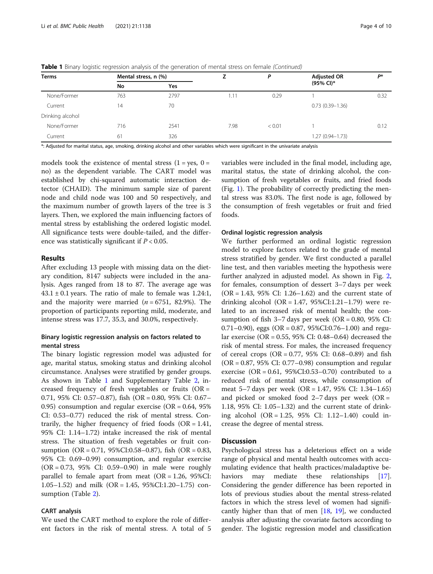| Terms            | Mental stress, n (%) |            |      | D      | <b>Adjusted OR</b>  | <b>D</b> * |
|------------------|----------------------|------------|------|--------|---------------------|------------|
|                  | No                   | <b>Yes</b> |      |        | (95% CI)*           |            |
| None/Former      | 763                  | 2797       | 1.11 | 0.29   |                     | 0.32       |
| Current          | 14                   | 70         |      |        | $0.73(0.39 - 1.36)$ |            |
| Drinking alcohol |                      |            |      |        |                     |            |
| None/Former      | 716                  | 2541       | 7.98 | < 0.01 |                     | 0.12       |
| Current          | 61                   | 326        |      |        | 1.27 (0.94-1.73)    |            |

Table 1 Binary logistic regression analysis of the generation of mental stress on female (Continued)

\*: Adjusted for marital status, age, smoking, drinking alcohol and other variables which were significant in the univariate analysis

models took the existence of mental stress  $(1 = yes, 0 =$ no) as the dependent variable. The CART model was established by chi-squared automatic interaction detector (CHAID). The minimum sample size of parent node and child node was 100 and 50 respectively, and the maximum number of growth layers of the tree is 3 layers. Then, we explored the main influencing factors of mental stress by establishing the ordered logistic model. All significance tests were double-tailed, and the difference was statistically significant if  $P < 0.05$ .

## Results

After excluding 13 people with missing data on the dietary condition, 8147 subjects were included in the analysis. Ages ranged from 18 to 87. The average age was  $43.1 \pm 0.1$  years. The ratio of male to female was 1.24:1, and the majority were married  $(n = 6751, 82.9\%)$ . The proportion of participants reporting mild, moderate, and intense stress was 17.7, 35.3, and 30.0%, respectively.

# Binary logistic regression analysis on factors related to mental stress

The binary logistic regression model was adjusted for age, marital status, smoking status and drinking alcohol circumstance. Analyses were stratified by gender groups. As shown in Table [1](#page-2-0) and Supplementary Table [2](#page-7-0), increased frequency of fresh vegetables or fruits  $(OR =$ 0.71, 95% CI: 0.57–0.87), fish (OR = 0.80, 95% CI: 0.67– 0.95) consumption and regular exercise (OR =  $0.64$ , 95% CI: 0.53–0.77) reduced the risk of mental stress. Contrarily, the higher frequency of fried foods  $(OR = 1.41,$ 95% CI: 1.14–1.72) intake increased the risk of mental stress. The situation of fresh vegetables or fruit consumption (OR = 0.71, 95%CI:0.58–0.87), fish (OR = 0.83, 95% CI: 0.69–0.99) consumption, and regular exercise (OR = 0.73, 95% CI: 0.59–0.90) in male were roughly parallel to female apart from meat  $(OR = 1.26, 95\% CI:$ 1.05–1.52) and milk (OR = 1.45, 95%CI:1.20–1.75) consumption (Table [2](#page-4-0)).

# CART analysis

We used the CART method to explore the role of different factors in the risk of mental stress. A total of 5 variables were included in the final model, including age, marital status, the state of drinking alcohol, the consumption of fresh vegetables or fruits, and fried foods (Fig. [1\)](#page-5-0). The probability of correctly predicting the mental stress was 83.0%. The first node is age, followed by the consumption of fresh vegetables or fruit and fried foods.

# Ordinal logistic regression analysis

We further performed an ordinal logistic regression model to explore factors related to the grade of mental stress stratified by gender. We first conducted a parallel line test, and then variables meeting the hypothesis were further analyzed in adjusted model. As shown in Fig. [2](#page-6-0), for females, consumption of dessert 3–7 days per week (OR = 1.43, 95% CI: 1.26–1.62) and the current state of drinking alcohol (OR =  $1.47, 95\%$ CI:1.21–1.79) were related to an increased risk of mental health; the consumption of fish  $3-7$  days per week (OR = 0.80, 95% CI: 0.71–0.90), eggs (OR = 0.87, 95%CI:0.76–1.00) and regular exercise (OR = 0.55, 95% CI: 0.48–0.64) decreased the risk of mental stress. For males, the increased frequency of cereal crops ( $OR = 0.77$ , 95% CI: 0.68–0.89) and fish (OR = 0.87, 95% CI: 0.77–0.98) consumption and regular exercise (OR =  $0.61$ ,  $95\%$ CI: $0.53-0.70$ ) contributed to a reduced risk of mental stress, while consumption of meat 5–7 days per week (OR = 1.47, 95% CI: 1.34–1.65) and picked or smoked food  $2-7$  days per week (OR = 1.18, 95% CI: 1.05–1.32) and the current state of drinking alcohol (OR = 1.25, 95% CI: 1.12–1.40) could increase the degree of mental stress.

# **Discussion**

Psychological stress has a deleterious effect on a wide range of physical and mental health outcomes with accumulating evidence that health practices/maladaptive be-haviors may mediate these relationships [\[17](#page-8-0)]. Considering the gender difference has been reported in lots of previous studies about the mental stress-related factors in which the stress level of women had significantly higher than that of men [[18](#page-8-0), [19\]](#page-8-0), we conducted analysis after adjusting the covariate factors according to gender. The logistic regression model and classification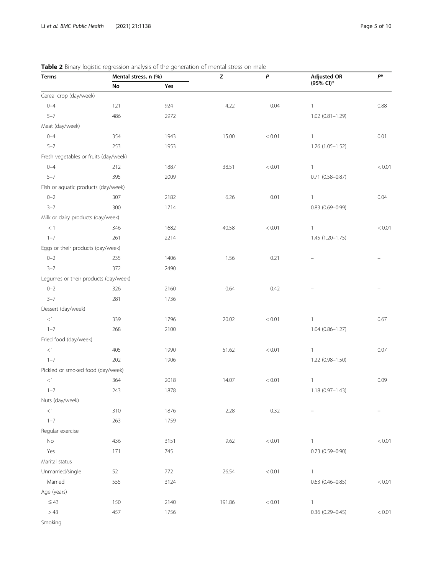| Terms                                 |     | Mental stress, n (%) |        | P      | <b>Adjusted OR</b>     | $P^*$      |
|---------------------------------------|-----|----------------------|--------|--------|------------------------|------------|
|                                       | No  | Yes                  |        |        | $(95%$ CI)*            |            |
| Cereal crop (day/week)                |     |                      |        |        |                        |            |
| $0 - 4$                               | 121 | 924                  | 4.22   | 0.04   | $\mathbf{1}$           | 0.88       |
| $5 - 7$                               | 486 | 2972                 |        |        | $1.02(0.81 - 1.29)$    |            |
| Meat (day/week)                       |     |                      |        |        |                        |            |
| $0 - 4$                               | 354 | 1943                 | 15.00  | < 0.01 | $\mathbf{1}$           | 0.01       |
| $5 - 7$                               | 253 | 1953                 |        |        | 1.26 (1.05-1.52)       |            |
| Fresh vegetables or fruits (day/week) |     |                      |        |        |                        |            |
| $0 - 4$                               | 212 | 1887                 | 38.51  | < 0.01 | $\mathbf{1}$           | < 0.01     |
| $5 - 7$                               | 395 | 2009                 |        |        | $0.71$ (0.58-0.87)     |            |
| Fish or aquatic products (day/week)   |     |                      |        |        |                        |            |
| $0 - 2$                               | 307 | 2182                 | 6.26   | 0.01   | $\mathbf{1}$           | 0.04       |
| $3 - 7$                               | 300 | 1714                 |        |        | $0.83$ (0.69-0.99)     |            |
| Milk or dairy products (day/week)     |     |                      |        |        |                        |            |
| $<1\,$                                | 346 | 1682                 | 40.58  | < 0.01 | $\mathbf{1}$           | < 0.01     |
| $1 - 7$                               | 261 | 2214                 |        |        | $1.45(1.20 - 1.75)$    |            |
| Eggs or their products (day/week)     |     |                      |        |        |                        |            |
| $0 - 2$                               | 235 | 1406                 | 1.56   | 0.21   |                        |            |
| $3 - 7$                               | 372 | 2490                 |        |        |                        |            |
| Legumes or their products (day/week)  |     |                      |        |        |                        |            |
| $0 - 2$                               | 326 | 2160                 | 0.64   | 0.42   |                        |            |
| $3 - 7$                               | 281 | 1736                 |        |        |                        |            |
| Dessert (day/week)                    |     |                      |        |        |                        |            |
| $<\!1$                                | 339 | 1796                 | 20.02  | < 0.01 | $\mathbf{1}$           | 0.67       |
| $1 - 7$                               | 268 | 2100                 |        |        | 1.04 (0.86-1.27)       |            |
| Fried food (day/week)                 |     |                      |        |        |                        |            |
| $<\!1$                                | 405 | 1990                 | 51.62  | < 0.01 | $\mathbf{1}$           | 0.07       |
| $1 - 7$                               | 202 | 1906                 |        |        | 1.22 (0.98-1.50)       |            |
| Pickled or smoked food (day/week)     |     |                      |        |        |                        |            |
| $<\!1$                                | 364 | 2018                 | 14.07  | < 0.01 | $\mathbf{1}$           | 0.09       |
| $1 - 7$                               | 243 | 1878                 |        |        | 1.18 (0.97-1.43)       |            |
| Nuts (day/week)                       |     |                      |        |        |                        |            |
| $<\!1$                                | 310 | 1876                 | 2.28   | 0.32   |                        |            |
| $1 - 7$                               | 263 | 1759                 |        |        |                        |            |
| Regular exercise                      |     |                      |        |        |                        |            |
| $\mathsf{No}$                         | 436 | 3151                 | 9.62   | < 0.01 | 1                      | < 0.01     |
| Yes                                   | 171 | 745                  |        |        | $0.73$ $(0.59 - 0.90)$ |            |
| Marital status                        |     |                      |        |        |                        |            |
| Unmarried/single                      | 52  | 772                  | 26.54  | < 0.01 | $\mathbf{1}$           |            |
| Married                               | 555 | 3124                 |        |        | $0.63$ (0.46-0.85)     | $< 0.01\,$ |
| Age (years)                           |     |                      |        |        |                        |            |
| $\leq 43$                             | 150 | 2140                 | 191.86 | < 0.01 | 1                      |            |
| >43                                   | 457 | 1756                 |        |        | $0.36(0.29 - 0.45)$    | < 0.01     |
| Smoking                               |     |                      |        |        |                        |            |

# <span id="page-4-0"></span>Table 2 Binary logistic regression analysis of the generation of mental stress on male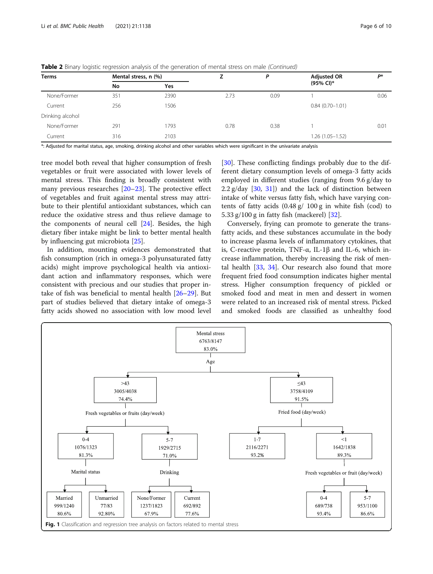| Terms            | Mental stress, n (%) |            |      | P    | <b>Adjusted OR</b>  | D*   |
|------------------|----------------------|------------|------|------|---------------------|------|
|                  | No                   | <b>Yes</b> |      |      | (95% CI)*           |      |
| None/Former      | 351                  | 2390       | 2.73 | 0.09 |                     | 0.06 |
| Current          | 256                  | 1506       |      |      | $0.84(0.70 - 1.01)$ |      |
| Drinking alcohol |                      |            |      |      |                     |      |
| None/Former      | 291                  | 1793       | 0.78 | 0.38 |                     | 0.01 |
| Current          | 316                  | 2103       |      |      | 1.26 (1.05-1.52)    |      |

<span id="page-5-0"></span>**Table 2** Binary logistic regression analysis of the generation of mental stress on male (Continued)

\*: Adjusted for marital status, age, smoking, drinking alcohol and other variables which were significant in the univariate analysis

tree model both reveal that higher consumption of fresh vegetables or fruit were associated with lower levels of mental stress. This finding is broadly consistent with many previous researches [[20](#page-8-0)–[23](#page-8-0)]. The protective effect of vegetables and fruit against mental stress may attribute to their plentiful antioxidant substances, which can reduce the oxidative stress and thus relieve damage to the components of neural cell [[24\]](#page-8-0). Besides, the high dietary fiber intake might be link to better mental health by influencing gut microbiota [\[25](#page-8-0)].

In addition, mounting evidences demonstrated that fish consumption (rich in omega-3 polyunsaturated fatty acids) might improve psychological health via antioxidant action and inflammatory responses, which were consistent with precious and our studies that proper intake of fish was beneficial to mental health [[26](#page-8-0)–[29](#page-9-0)]. But part of studies believed that dietary intake of omega-3 fatty acids showed no association with low mood level

[[30\]](#page-9-0). These conflicting findings probably due to the different dietary consumption levels of omega-3 fatty acids employed in different studies (ranging from 9.6 g/day to  $2.2$  g/day  $[30, 31]$  $[30, 31]$  $[30, 31]$  $[30, 31]$  $[30, 31]$  and the lack of distinction between intake of white versus fatty fish, which have varying contents of fatty acids (0.48 g/ 100 g in white fish (cod) to 5.33 g/100 g in fatty fish (mackerel) [[32\]](#page-9-0).

Conversely, frying can promote to generate the transfatty acids, and these substances accumulate in the body to increase plasma levels of inflammatory cytokines, that is, C-reactive protein, TNF-α, IL-1β and IL-6, which increase inflammation, thereby increasing the risk of mental health  $[33, 34]$  $[33, 34]$  $[33, 34]$  $[33, 34]$ . Our research also found that more frequent fried food consumption indicates higher mental stress. Higher consumption frequency of pickled or smoked food and meat in men and dessert in women were related to an increased risk of mental stress. Picked and smoked foods are classified as unhealthy food

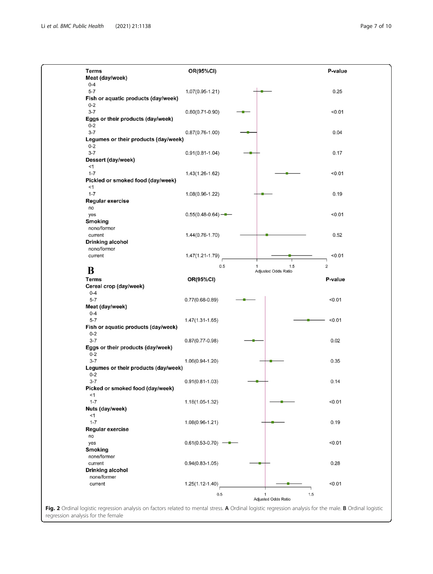- 1

<span id="page-6-0"></span>

| Terms                                                                                                                                                    | OR(95%CI)           |                                            | P-value        |
|----------------------------------------------------------------------------------------------------------------------------------------------------------|---------------------|--------------------------------------------|----------------|
| Meat (day/week)<br>$0 - 4$                                                                                                                               |                     |                                            |                |
| $5 - 7$                                                                                                                                                  | $1.07(0.95 - 1.21)$ |                                            | 0.25           |
| Fish or aquatic products (day/week)<br>$0 - 2$                                                                                                           |                     |                                            |                |
| $3 - 7$                                                                                                                                                  | $0.80(0.71 - 0.90)$ |                                            | < 0.01         |
| Eggs or their products (day/week)<br>$0 - 2$                                                                                                             |                     |                                            |                |
| $3 - 7$                                                                                                                                                  | $0.87(0.76 - 1.00)$ |                                            | 0.04           |
| Legumes or their products (day/week)<br>$0 - 2$                                                                                                          |                     |                                            |                |
| $3 - 7$                                                                                                                                                  | $0.91(0.81 - 1.04)$ |                                            | 0.17           |
| Dessert (day/week)<br>$<$ 1                                                                                                                              |                     |                                            |                |
| $1 - 7$                                                                                                                                                  | 1.43(1.26-1.62)     |                                            | < 0.01         |
| Pickled or smoked food (day/week)<br><1                                                                                                                  |                     |                                            |                |
| $1 - 7$                                                                                                                                                  | $1.08(0.96 - 1.22)$ |                                            | 0.19           |
| Regular exercise                                                                                                                                         |                     |                                            |                |
| no<br>yes                                                                                                                                                | $0.55(0.48-0.64)$ — |                                            | < 0.01         |
| <b>Smoking</b>                                                                                                                                           |                     |                                            |                |
| none/former<br>current                                                                                                                                   | $1.44(0.76 - 1.70)$ |                                            | 0.52           |
| Drinking alcohol                                                                                                                                         |                     |                                            |                |
| none/former                                                                                                                                              |                     |                                            |                |
| current                                                                                                                                                  | $1.47(1.21 - 1.79)$ |                                            | < 0.01         |
| B                                                                                                                                                        | 0.5                 | 1.5<br>$\mathbf{1}$<br>Adjusted Odds Ratio | $\overline{c}$ |
| <b>Terms</b>                                                                                                                                             | OR(95%CI)           |                                            | P-value        |
| Cereal crop (day/week)<br>$0 - 4$                                                                                                                        |                     |                                            |                |
| $5 - 7$                                                                                                                                                  | $0.77(0.68 - 0.89)$ |                                            | < 0.01         |
| Meat (day/week)                                                                                                                                          |                     |                                            |                |
| $0 - 4$<br>$5 - 7$                                                                                                                                       | $1.47(1.31 - 1.65)$ |                                            | < 0.01         |
| Fish or aquatic products (day/week)                                                                                                                      |                     |                                            |                |
| $0 - 2$<br>$3 - 7$                                                                                                                                       | $0.87(0.77-0.98)$   |                                            | 0.02           |
| Eggs or their products (day/week)                                                                                                                        |                     |                                            |                |
| $0 - 2$<br>$3 - 7$                                                                                                                                       | $1.06(0.94 - 1.20)$ |                                            | 0.35           |
| Legumes or their products (day/week)                                                                                                                     |                     |                                            |                |
| $0 - 2$<br>$3 - 7$                                                                                                                                       | $0.91(0.81 - 1.03)$ |                                            | 0.14           |
| Picked or smoked food (day/week)                                                                                                                         |                     |                                            |                |
| $<$ 1<br>$1 - 7$                                                                                                                                         |                     |                                            |                |
| Nuts (day/week)                                                                                                                                          | $1.18(1.05 - 1.32)$ |                                            | < 0.01         |
| $<$ 1                                                                                                                                                    |                     |                                            |                |
| $1 - 7$<br>Regular exercise                                                                                                                              | 1.08(0.96-1.21)     |                                            | 0.19           |
| no                                                                                                                                                       |                     |                                            |                |
| yes<br><b>Smoking</b>                                                                                                                                    | $0.61(0.53-0.70)$ - |                                            | < 0.01         |
| none/former                                                                                                                                              |                     |                                            |                |
| current                                                                                                                                                  | $0.94(0.83 - 1.05)$ |                                            | 0.28           |
| Drinking alcohol<br>none/former                                                                                                                          |                     |                                            |                |
| current                                                                                                                                                  | $1.25(1.12 - 1.40)$ |                                            | < 0.01         |
|                                                                                                                                                          | 0.5                 | $\mathbf{1}$                               | 1.5            |
| Fig. 2 Ordinal logistic regression analysis on factors related to mental stress. A Ordinal logistic regression analysis for the male. B Ordinal logistic |                     | Adjusted Odds Ratio                        |                |
| regression analysis for the female                                                                                                                       |                     |                                            |                |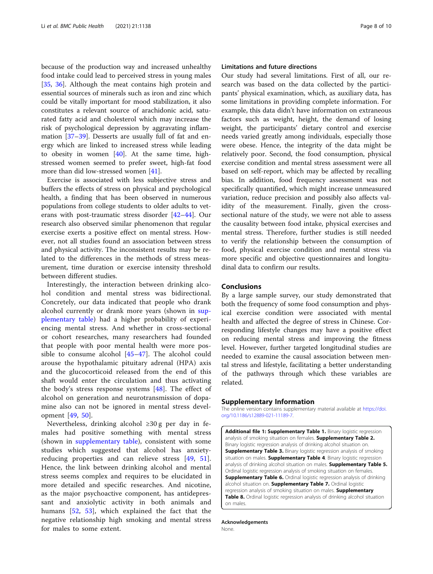<span id="page-7-0"></span>because of the production way and increased unhealthy food intake could lead to perceived stress in young males [[35,](#page-9-0) [36](#page-9-0)]. Although the meat contains high protein and essential sources of minerals such as iron and zinc which could be vitally important for mood stabilization, it also constitutes a relevant source of arachidonic acid, saturated fatty acid and cholesterol which may increase the risk of psychological depression by aggravating inflammation [[37](#page-9-0)–[39](#page-9-0)]. Desserts are usually full of fat and energy which are linked to increased stress while leading to obesity in women [\[40\]](#page-9-0). At the same time, highstressed women seemed to prefer sweet, high-fat food more than did low-stressed women [\[41](#page-9-0)].

Exercise is associated with less subjective stress and buffers the effects of stress on physical and psychological health, a finding that has been observed in numerous populations from college students to older adults to veterans with post-traumatic stress disorder [\[42](#page-9-0)–[44](#page-9-0)]. Our research also observed similar phenomenon that regular exercise exerts a positive effect on mental stress. However, not all studies found an association between stress and physical activity. The inconsistent results may be related to the differences in the methods of stress measurement, time duration or exercise intensity threshold between different studies.

Interestingly, the interaction between drinking alcohol condition and mental stress was bidirectional. Concretely, our data indicated that people who drank alcohol currently or drank more years (shown in supplementary table) had a higher probability of experiencing mental stress. And whether in cross-sectional or cohort researches, many researchers had founded that people with poor mental health were more possible to consume alcohol [[45](#page-9-0)–[47\]](#page-9-0). The alcohol could arouse the hypothalamic pituitary adrenal (HPA) axis and the glucocorticoid released from the end of this shaft would enter the circulation and thus activating the body's stress response systems [[48\]](#page-9-0). The effect of alcohol on generation and neurotransmission of dopamine also can not be ignored in mental stress development [[49,](#page-9-0) [50](#page-9-0)].

Nevertheless, drinking alcohol ≥30 g per day in females had positive something with mental stress (shown in supplementary table), consistent with some studies which suggested that alcohol has anxietyreducing properties and can relieve stress [[49,](#page-9-0) [51](#page-9-0)]. Hence, the link between drinking alcohol and mental stress seems complex and requires to be elucidated in more detailed and specific researches. And nicotine, as the major psychoactive component, has antidepressant and anxiolytic activity in both animals and humans [[52,](#page-9-0) [53\]](#page-9-0), which explained the fact that the negative relationship high smoking and mental stress for males to some extent.

# Limitations and future directions

Our study had several limitations. First of all, our research was based on the data collected by the participants' physical examination, which, as auxiliary data, has some limitations in providing complete information. For example, this data didn't have information on extraneous factors such as weight, height, the demand of losing weight, the participants' dietary control and exercise needs varied greatly among individuals, especially those were obese. Hence, the integrity of the data might be relatively poor. Second, the food consumption, physical exercise condition and mental stress assessment were all based on self-report, which may be affected by recalling bias. In addition, food frequency assessment was not specifically quantified, which might increase unmeasured variation, reduce precision and possibly also affects validity of the measurement. Finally, given the crosssectional nature of the study, we were not able to assess the causality between food intake, physical exercises and mental stress. Therefore, further studies is still needed to verify the relationship between the consumption of food, physical exercise condition and mental stress via more specific and objective questionnaires and longitudinal data to confirm our results.

# Conclusions

By a large sample survey, our study demonstrated that both the frequency of some food consumption and physical exercise condition were associated with mental health and affected the degree of stress in Chinese. Corresponding lifestyle changes may have a positive effect on reducing mental stress and improving the fitness level. However, further targeted longitudinal studies are needed to examine the causal association between mental stress and lifestyle, facilitating a better understanding of the pathways through which these variables are related.

#### Supplementary Information

The online version contains supplementary material available at [https://doi.](https://doi.org/10.1186/s12889-021-11189-7) [org/10.1186/s12889-021-11189-7.](https://doi.org/10.1186/s12889-021-11189-7)

Additional file 1: Supplementary Table 1. Binary logistic regression analysis of smoking situation on females. Supplementary Table 2. Binary logistic regression analysis of drinking alcohol situation on. **Supplementary Table 3.** Binary logistic regression analysis of smoking situation on males. Supplementary Table 4. Binary logistic regression analysis of drinking alcohol situation on males. Supplementary Table 5. Ordinal logistic regression analysis of smoking situation on females. Supplementary Table 6. Ordinal logistic regression analysis of drinking alcohol situation on. Supplementary Table 7. Ordinal logistic regression analysis of smoking situation on males. Supplementary Table 8. Ordinal logistic regression analysis of drinking alcohol situation on males.

Acknowledgements None.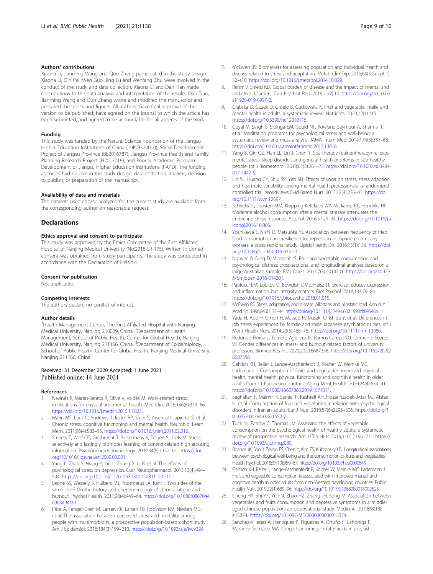## <span id="page-8-0"></span>Authors' contributions

Xiaona Li, Jianming Wang and Qun Zhang participated in the study design. Xiaona Li, Qin Pei, Wen Guo, Jing Lu and Wenfang Zhu were involved in the conduct of the study and data collection. Xiaona Li and Dan Tian made contributions to the data analysis and interpretation of the results. Dan Tian, Jianming Wang and Qun Zhang wrote and modified the manuscript and prepared the tables and figures. All authors. Gave final approval of the version to be published; have agreed on the journal to which the article has been submitted; and agreed to be accountable for all aspects of the work.

#### Funding

This study was funded by the Natural Science Foundation of the Jiangsu Higher Education Institutions of China (19KJB320010), Social Development Project of Jiangsu Province (BE2016787), Jiangsu Province Health and Family Planning Research Project (H2017019), and Priority Academic Program Development of Jiangsu Higher Education Institutions (PAPD). The funding agencies had no role in the study design, data collection, analysis, decision to publish, or preparation of the manuscript.

#### Availability of data and materials

The datasets used and/or analyzed for the current study are available from the corresponding author on reasonable request.

# **Declarations**

#### Ethics approval and consent to participate

This study was approved by the Ethics Committee of the First Affiliated Hospital of Nanjing Medical University (No.2018-SR-175). Written informed consent was obtained from study participants. The study was conducted in accordance with the Declaration of Helsinki.

#### Consent for publication

Not applicable.

#### Competing interests

The authors declare no conflict of interest.

#### Author details

<sup>1</sup> Health Management Center, The First Affiliated Hospital with Nanjing Medical University, Nanjing 210029, China. <sup>2</sup>Department of Health Management, School of Public Health, Center for Global Health, Nanjing Medical University, Nanjing 211166, China. <sup>3</sup>Department of Epidemiology, School of Public Health, Center for Global Health, Nanjing Medical University, Nanjing 211166, China.

# Received: 31 December 2020 Accepted: 1 June 2021 Published online: 14 June 2021

#### References

- 1. Navinés R, Martín-Santos R, Olivé V, Valdés M. Work-related stress: implications for physical and mental health. Med Clin. 2016;146(8):359–66. [https://doi.org/10.1016/j.medcli.2015.11.023.](https://doi.org/10.1016/j.medcli.2015.11.023)
- 2. Marin MF, Lord C, Andrews J, Juster RP, Sindi S, Arsenault-Lapierre G, et al. Chronic stress, cognitive functioning and mental health. Neurobiol Learn Mem. 2011;96(4):583–95. [https://doi.org/10.1016/j.nlm.2011.02.016.](https://doi.org/10.1016/j.nlm.2011.02.016)
- 3. Smeets T, Wolf OT, Giesbrecht T, Sijstermans K, Telgen S, Joëls M. Stress selectively and lastingly promotes learning of context-related high arousing information. Psychoneuroendocrinology. 2009;34(8):1152–61. [https://doi.](https://doi.org/10.1016/j.psyneuen.2009.03.001) [org/10.1016/j.psyneuen.2009.03.001.](https://doi.org/10.1016/j.psyneuen.2009.03.001)
- Yang L, Zhao Y, Wang Y, Liu L, Zhang X, Li B, et al. The effects of psychological stress on depression. Curr Neuropharmacol. 2015;13(4):494– 504. [https://doi.org/10.2174/1570159X1304150831150507.](https://doi.org/10.2174/1570159X1304150831150507)
- 5. Leone SS, Wessely S, Huibers MJ, Knottnerus JA, Kant I. Two sides of the same coin? On the history and phenomenology of chronic fatigue and burnout. Psychol Health. 2011;26(4):449–64. [https://doi.org/10.1080/0887044](https://doi.org/10.1080/08870440903494191) [0903494191.](https://doi.org/10.1080/08870440903494191)
- Prior A, Fenger-Grøn M, Larsen KK, Larsen FB, Robinson KM, Nielsen MG, et al. The association between perceived stress and mortality among people with multimorbidity: a prospective population-based cohort study. Am J Epidemiol. 2016;184(3):199–210. <https://doi.org/10.1093/aje/kwv324>.
- 7. McEwen BS. Biomarkers for assessing population and individual health and disease related to stress and adaptation. Metab Clin Exp. 2015;64(3 Suppl 1): S2–s10. [https://doi.org/10.1016/j.metabol.2014.10.029.](https://doi.org/10.1016/j.metabol.2014.10.029)
- Rehm J, Shield KD. Global burden of disease and the impact of mental and addictive disorders. Curr Psychiat Rep. 2019;21(2):10. [https://doi.org/10.1007/](https://doi.org/10.1007/s11920-019-0997-0) [s11920-019-0997-0.](https://doi.org/10.1007/s11920-019-0997-0)
- Głąbska D, Guzek D, Groele B, Gutkowska K. Fruit and vegetable intake and mental health in adults: a systematic review. Nutrients. 2020;12(1):115. [https://doi.org/10.3390/nu12010115.](https://doi.org/10.3390/nu12010115)
- 10. Goyal M, Singh S, Sibinga EM, Gould NF, Rowland-Seymour A, Sharma R, et al. Meditation programs for psychological stress and well-being: a systematic review and meta-analysis. JAMA Intern Med. 2014;174(3):357–68. <https://doi.org/10.1001/jamainternmed.2013.13018>.
- 11. Yang B, Qin QZ, Han LL, Lin J, Chen Y. Spa therapy (balneotherapy) relieves mental stress, sleep disorder, and general health problems in sub-healthy people. Int J Biometeorol. 2018;62(2):261–72. [https://doi.org/10.1007/s00484-](https://doi.org/10.1007/s00484-017-1447-5) [017-1447-5](https://doi.org/10.1007/s00484-017-1447-5).
- 12. Lin SL, Huang CY, Shiu SP, Yeh SH. Effects of yoga on stress, stress adaption, and heart rate variability among mental health professionals--a randomized controlled trial. Worldviews Evid-Based Nurs. 2015;12(4):236–45. [https://doi.](https://doi.org/10.1111/wvn.12097) [org/10.1111/wvn.12097](https://doi.org/10.1111/wvn.12097).
- 13. Schrieks IC, Joosten MM, Klöpping-Ketelaars WA, Witkamp RF, Hendriks HF. Moderate alcohol consumption after a mental stressor attenuates the endocrine stress response. Alcohol. 2016;57:29–34. [https://doi.org/10.1016/j.a](https://doi.org/10.1016/j.alcohol.2016.10.006) [lcohol.2016.10.006](https://doi.org/10.1016/j.alcohol.2016.10.006).
- 14. Yoshikawa E, Nishi D, Matsuoka YJ. Association between frequency of fried food consumption and resilience to depression in Japanese company workers: a cross-sectional study. Lipids Health Dis. 2016;15(1):156. [https://doi.](https://doi.org/10.1186/s12944-016-0331-3) [org/10.1186/s12944-016-0331-3](https://doi.org/10.1186/s12944-016-0331-3).
- 15. Nguyen B, Ding D, Mihrshahi S. Fruit and vegetable consumption and psychological distress: cross-sectional and longitudinal analyses based on a large Australian sample. BMJ Open. 2017;7(3):e014201. [https://doi.org/10.113](https://doi.org/10.1136/bmjopen-2016-014201) [6/bmjopen-2016-014201.](https://doi.org/10.1136/bmjopen-2016-014201)
- 16. Paolucci EM, Loukov D, Bowdish DME, Heisz JJ. Exercise reduces depression and inflammation but intensity matters. Biol Psychol. 2018;133:79–84. <https://doi.org/10.1016/j.biopsycho.2018.01.015>.
- 17. McEwen BS. Stress, adaptation, and disease. Allostasis and allostatic load. Ann N Y Acad Sci. 1998;840(1):33–44. <https://doi.org/10.1111/j.1749-6632.1998.tb09546.x>.
- 18. Yada H, Abe H, Omori H, Matsuo H, Masaki O, Ishida Y, et al. Differences in job stress experienced by female and male Japanese psychiatric nurses. Int J Ment Health Nurs. 2014;23(5):468–76. [https://doi.org/10.1111/inm.12080.](https://doi.org/10.1111/inm.12080)
- 19. Redondo-Flórez L, Tornero-Aguilera JF, Ramos-Campo DJ, Clemente-Suárez VJ. Gender differences in stress- and burnout-related factors of university professors. Biomed Res Int. 2020;2020:6687358. [https://doi.org/10.1155/2020/](https://doi.org/10.1155/2020/6687358) [6687358.](https://doi.org/10.1155/2020/6687358)
- 20. Gehlich KH, Beller J, Lange-Asschenfeldt B, Köcher W, Meinke MC, Lademann J. Consumption of fruits and vegetables: improved physical health, mental health, physical functioning and cognitive health in older adults from 11 European countries. Aging Ment Health. 2020;24(4):634–41. <https://doi.org/10.1080/13607863.2019.1571011>.
- 21. Saghafian F, Malmir H, Saneei P, Keshteli AH, Hosseinzadeh-Attar MJ, Afshar H, et al. Consumption of fruit and vegetables in relation with psychological disorders in Iranian adults. Eur J Nutr. 2018;57(6):2295–306. [https://doi.org/1](https://doi.org/10.1007/s00394-018-1652-y) [0.1007/s00394-018-1652-y](https://doi.org/10.1007/s00394-018-1652-y).
- 22. Tuck NJ, Farrow C, Thomas JM. Assessing the effects of vegetable consumption on the psychological health of healthy adults: a systematic review of prospective research. Am J Clin Nutr. 2019;110(1):196–211. [https://](https://doi.org/10.1093/ajcn/nqz080) [doi.org/10.1093/ajcn/nqz080](https://doi.org/10.1093/ajcn/nqz080).
- 23. Boehm JK, Soo J, Zevon ES, Chen Y, Kim ES, Kubzansky LD. Longitudinal associations between psychological well-being and the consumption of fruits and vegetables. Health Psychol. 2018;37(10):959–67. <https://doi.org/10.1037/hea0000643>.
- 24. Gehlich KH, Beller J, Lange-Asschenfeldt B, Köcher W, Meinke MC, Lademann J. Fruit and vegetable consumption is associated with improved mental and cognitive health in older adults from non-Western developing countries. Public Health Nutr. 2019;22(4):689–96. <https://doi.org/10.1017/S1368980018002525>.
- 25. Cheng HY, Shi YX, Yu FN, Zhao HZ, Zhang JH, Song M. Association between vegetables and fruits consumption and depressive symptoms in a middleaged Chinese population: an observational study. Medicine. 2019;98(18): e15374. [https://doi.org/10.1097/MD.0000000000015374.](https://doi.org/10.1097/MD.0000000000015374)
- 26. Sanchez-Villegas A, Henríquez P, Figueiras A, Ortuño F, Lahortiga F, Martínez-González MA. Long chain omega-3 fatty acids intake, fish